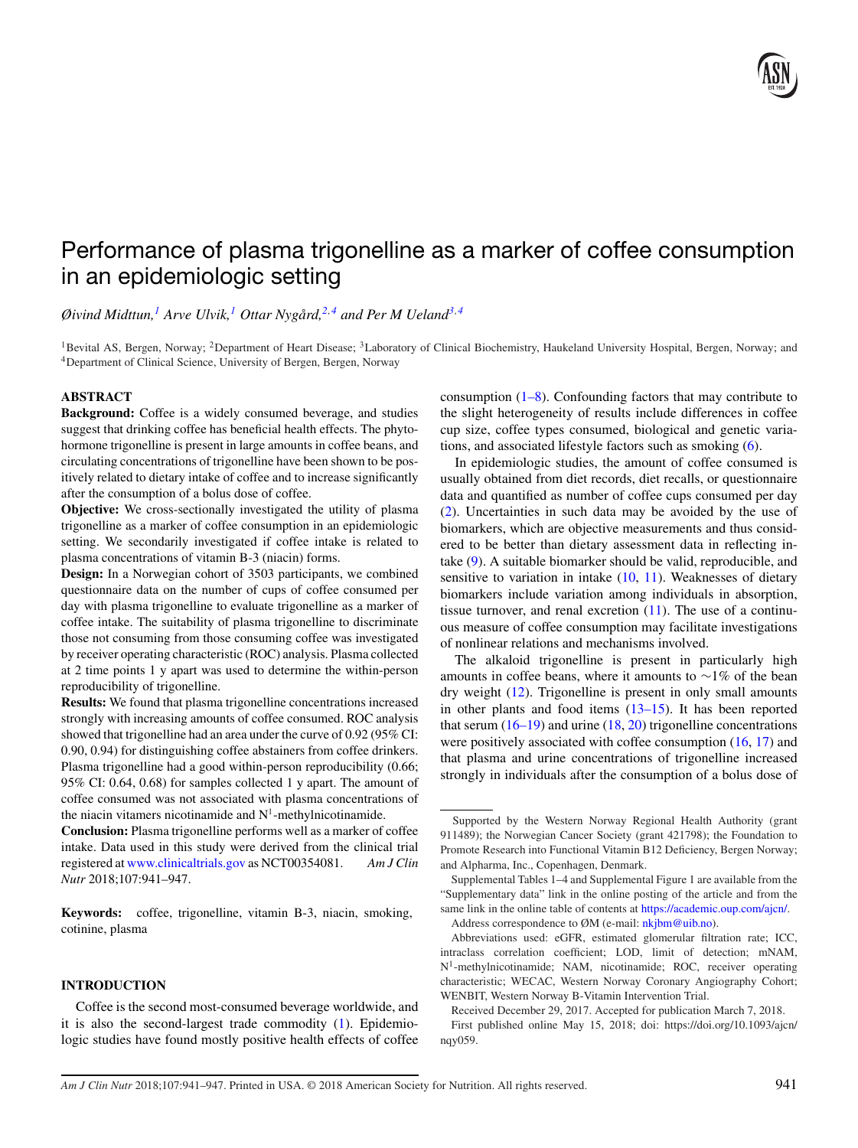# Performance of plasma trigonelline as a marker of coffee consumption in an epidemiologic setting

*Øivind Midttun,<sup>1</sup> Arve Ulvik,<sup>1</sup> Ottar Nygård,2,4 and Per M Ueland3,4*

<sup>1</sup>Bevital AS, Bergen, Norway; <sup>2</sup>Department of Heart Disease; <sup>3</sup>Laboratory of Clinical Biochemistry, Haukeland University Hospital, Bergen, Norway; and 4Department of Clinical Science, University of Bergen, Bergen, Norway

## **ABSTRACT**

**Background:** Coffee is a widely consumed beverage, and studies suggest that drinking coffee has beneficial health effects. The phytohormone trigonelline is present in large amounts in coffee beans, and circulating concentrations of trigonelline have been shown to be positively related to dietary intake of coffee and to increase significantly after the consumption of a bolus dose of coffee.

**Objective:** We cross-sectionally investigated the utility of plasma trigonelline as a marker of coffee consumption in an epidemiologic setting. We secondarily investigated if coffee intake is related to plasma concentrations of vitamin B-3 (niacin) forms.

**Design:** In a Norwegian cohort of 3503 participants, we combined questionnaire data on the number of cups of coffee consumed per day with plasma trigonelline to evaluate trigonelline as a marker of coffee intake. The suitability of plasma trigonelline to discriminate those not consuming from those consuming coffee was investigated by receiver operating characteristic (ROC) analysis. Plasma collected at 2 time points 1 y apart was used to determine the within-person reproducibility of trigonelline.

**Results:** We found that plasma trigonelline concentrations increased strongly with increasing amounts of coffee consumed. ROC analysis showed that trigonelline had an area under the curve of 0.92 (95% CI: 0.90, 0.94) for distinguishing coffee abstainers from coffee drinkers. Plasma trigonelline had a good within-person reproducibility (0.66; 95% CI: 0.64, 0.68) for samples collected 1 y apart. The amount of coffee consumed was not associated with plasma concentrations of the niacin vitamers nicotinamide and  $N<sup>1</sup>$ -methylnicotinamide.

**Conclusion:** Plasma trigonelline performs well as a marker of coffee intake. Data used in this study were derived from the clinical trial registered at www.clinicaltrials.gov as NCT00354081. *Am J Clin Nutr* 2018;107:941–947.

**Keywords:** coffee, trigonelline, vitamin B-3, niacin, smoking, cotinine, plasma

# **INTRODUCTION**

Coffee is the second most-consumed beverage worldwide, and it is also the second-largest trade commodity (1). Epidemiologic studies have found mostly positive health effects of coffee consumption  $(1-8)$ . Confounding factors that may contribute to the slight heterogeneity of results include differences in coffee cup size, coffee types consumed, biological and genetic variations, and associated lifestyle factors such as smoking (6).

In epidemiologic studies, the amount of coffee consumed is usually obtained from diet records, diet recalls, or questionnaire data and quantified as number of coffee cups consumed per day (2). Uncertainties in such data may be avoided by the use of biomarkers, which are objective measurements and thus considered to be better than dietary assessment data in reflecting intake (9). A suitable biomarker should be valid, reproducible, and sensitive to variation in intake (10, 11). Weaknesses of dietary biomarkers include variation among individuals in absorption, tissue turnover, and renal excretion (11). The use of a continuous measure of coffee consumption may facilitate investigations of nonlinear relations and mechanisms involved.

The alkaloid trigonelline is present in particularly high amounts in coffee beans, where it amounts to ∼1% of the bean dry weight (12). Trigonelline is present in only small amounts in other plants and food items (13–15). It has been reported that serum  $(16–19)$  and urine  $(18, 20)$  trigonelline concentrations were positively associated with coffee consumption  $(16, 17)$  and that plasma and urine concentrations of trigonelline increased strongly in individuals after the consumption of a bolus dose of

Supported by the Western Norway Regional Health Authority (grant 911489); the Norwegian Cancer Society (grant 421798); the Foundation to Promote Research into Functional Vitamin B12 Deficiency, Bergen Norway; and Alpharma, Inc., Copenhagen, Denmark.

Supplemental Tables 1–4 and Supplemental Figure 1 are available from the "Supplementary data" link in the online posting of the article and from the same link in the online table of contents at https://academic.oup.com/ajcn/. Address correspondence to ØM (e-mail: nkjbm@uib.no).

Abbreviations used: eGFR, estimated glomerular filtration rate; ICC, intraclass correlation coefficient; LOD, limit of detection; mNAM,  $N^1$ -methylnicotinamide; NAM, nicotinamide; ROC, receiver operating characteristic; WECAC, Western Norway Coronary Angiography Cohort; WENBIT, Western Norway B-Vitamin Intervention Trial.

Received December 29, 2017. Accepted for publication March 7, 2018.

First published online May 15, 2018; doi: https://doi.org/10.1093/ajcn/ nqy059.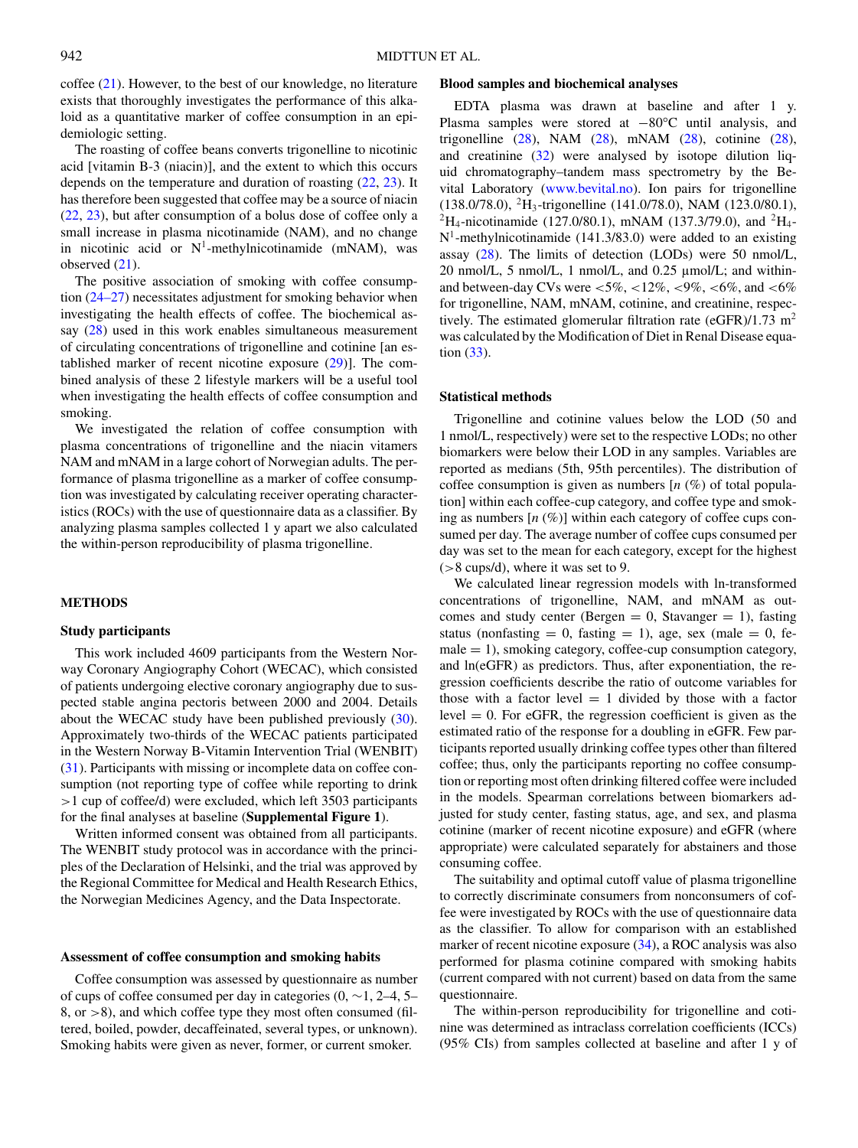coffee (21). However, to the best of our knowledge, no literature exists that thoroughly investigates the performance of this alkaloid as a quantitative marker of coffee consumption in an epidemiologic setting.

The roasting of coffee beans converts trigonelline to nicotinic acid [vitamin B-3 (niacin)], and the extent to which this occurs depends on the temperature and duration of roasting (22, 23). It has therefore been suggested that coffee may be a source of niacin (22, 23), but after consumption of a bolus dose of coffee only a small increase in plasma nicotinamide (NAM), and no change in nicotinic acid or  $N^1$ -methylnicotinamide (mNAM), was observed (21).

The positive association of smoking with coffee consumption (24–27) necessitates adjustment for smoking behavior when investigating the health effects of coffee. The biochemical assay (28) used in this work enables simultaneous measurement of circulating concentrations of trigonelline and cotinine [an established marker of recent nicotine exposure (29)]. The combined analysis of these 2 lifestyle markers will be a useful tool when investigating the health effects of coffee consumption and smoking.

We investigated the relation of coffee consumption with plasma concentrations of trigonelline and the niacin vitamers NAM and mNAM in a large cohort of Norwegian adults. The performance of plasma trigonelline as a marker of coffee consumption was investigated by calculating receiver operating characteristics (ROCs) with the use of questionnaire data as a classifier. By analyzing plasma samples collected 1 y apart we also calculated the within-person reproducibility of plasma trigonelline.

## **METHODS**

## **Study participants**

This work included 4609 participants from the Western Norway Coronary Angiography Cohort (WECAC), which consisted of patients undergoing elective coronary angiography due to suspected stable angina pectoris between 2000 and 2004. Details about the WECAC study have been published previously (30). Approximately two-thirds of the WECAC patients participated in the Western Norway B-Vitamin Intervention Trial (WENBIT) (31). Participants with missing or incomplete data on coffee consumption (not reporting type of coffee while reporting to drink >1 cup of coffee/d) were excluded, which left 3503 participants for the final analyses at baseline (**Supplemental Figure 1**).

Written informed consent was obtained from all participants. The WENBIT study protocol was in accordance with the principles of the Declaration of Helsinki, and the trial was approved by the Regional Committee for Medical and Health Research Ethics, the Norwegian Medicines Agency, and the Data Inspectorate.

# **Assessment of coffee consumption and smoking habits**

Coffee consumption was assessed by questionnaire as number of cups of coffee consumed per day in categories (0, ∼1, 2–4, 5– 8, or >8), and which coffee type they most often consumed (filtered, boiled, powder, decaffeinated, several types, or unknown). Smoking habits were given as never, former, or current smoker.

## **Blood samples and biochemical analyses**

EDTA plasma was drawn at baseline and after 1 y. Plasma samples were stored at <sup>−</sup>80°C until analysis, and trigonelline (28), NAM (28), mNAM (28), cotinine (28), and creatinine (32) were analysed by isotope dilution liquid chromatography–tandem mass spectrometry by the Bevital Laboratory (www.bevital.no). Ion pairs for trigonelline (138.0/78.0), <sup>2</sup>H<sub>3</sub>-trigonelline (141.0/78.0), NAM (123.0/80.1), <sup>2</sup>H<sub>4</sub>-nicotinamide (127.0/80.1), mNAM (137.3/79.0), and <sup>2</sup>H<sub>4</sub>- $N<sup>1</sup>$ -methylnicotinamide (141.3/83.0) were added to an existing assay  $(28)$ . The limits of detection (LODs) were 50 nmol/L, 20 nmol/L, 5 nmol/L, 1 nmol/L, and 0.25 µmol/L; and withinand between-day CVs were  $< 5\%$ ,  $< 12\%$ ,  $< 9\%$ ,  $< 6\%$ , and  $< 6\%$ for trigonelline, NAM, mNAM, cotinine, and creatinine, respectively. The estimated glomerular filtration rate (eGFR)/1.73  $m<sup>2</sup>$ was calculated by the Modification of Diet in Renal Disease equation  $(33)$ .

# **Statistical methods**

Trigonelline and cotinine values below the LOD (50 and 1 nmol/L, respectively) were set to the respective LODs; no other biomarkers were below their LOD in any samples. Variables are reported as medians (5th, 95th percentiles). The distribution of coffee consumption is given as numbers [*n* (%) of total population] within each coffee-cup category, and coffee type and smoking as numbers [*n* (%)] within each category of coffee cups consumed per day. The average number of coffee cups consumed per day was set to the mean for each category, except for the highest  $($ >8 cups/d), where it was set to 9.

We calculated linear regression models with ln-transformed concentrations of trigonelline, NAM, and mNAM as outcomes and study center (Bergen  $= 0$ , Stavanger  $= 1$ ), fasting status (nonfasting  $= 0$ , fasting  $= 1$ ), age, sex (male  $= 0$ , fe $male = 1$ , smoking category, coffee-cup consumption category, and ln(eGFR) as predictors. Thus, after exponentiation, the regression coefficients describe the ratio of outcome variables for those with a factor level  $= 1$  divided by those with a factor  $level = 0$ . For eGFR, the regression coefficient is given as the estimated ratio of the response for a doubling in eGFR. Few participants reported usually drinking coffee types other than filtered coffee; thus, only the participants reporting no coffee consumption or reporting most often drinking filtered coffee were included in the models. Spearman correlations between biomarkers adjusted for study center, fasting status, age, and sex, and plasma cotinine (marker of recent nicotine exposure) and eGFR (where appropriate) were calculated separately for abstainers and those consuming coffee.

The suitability and optimal cutoff value of plasma trigonelline to correctly discriminate consumers from nonconsumers of coffee were investigated by ROCs with the use of questionnaire data as the classifier. To allow for comparison with an established marker of recent nicotine exposure (34), a ROC analysis was also performed for plasma cotinine compared with smoking habits (current compared with not current) based on data from the same questionnaire.

The within-person reproducibility for trigonelline and cotinine was determined as intraclass correlation coefficients (ICCs) (95% CIs) from samples collected at baseline and after 1 y of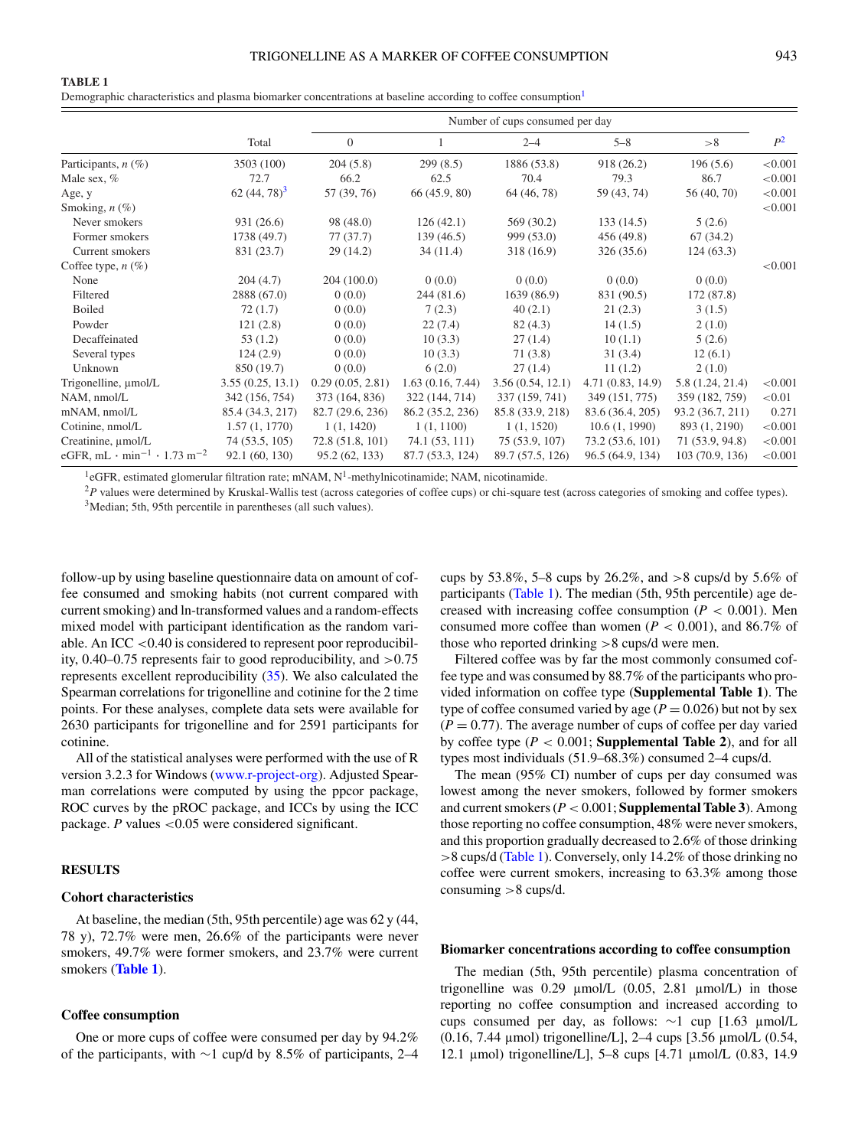**TABLE 1**

Demographic characteristics and plasma biomarker concentrations at baseline according to coffee consumption<sup>1</sup>

|                                                                 |                  | Number of cups consumed per day |                  |                  |                   |                  |           |
|-----------------------------------------------------------------|------------------|---------------------------------|------------------|------------------|-------------------|------------------|-----------|
|                                                                 | Total            | $\overline{0}$                  | 1                | $2 - 4$          | $5 - 8$           | > 8              | $P^2$     |
| Participants, $n$ (%)                                           | 3503 (100)       | 204(5.8)                        | 299(8.5)         | 1886 (53.8)      | 918(26.2)         | 196(5.6)         | < 0.001   |
| Male sex, %                                                     | 72.7             | 66.2                            | 62.5             | 70.4             | 79.3              | 86.7             | < 0.001   |
| Age, y                                                          | 62 $(44, 78)^3$  | 57 (39, 76)                     | 66(45.9, 80)     | 64 (46, 78)      | 59 (43, 74)       | 56 (40, 70)      | < 0.001   |
| Smoking, $n$ (%)                                                |                  |                                 |                  |                  |                   |                  | < 0.001   |
| Never smokers                                                   | 931 (26.6)       | 98 (48.0)                       | 126(42.1)        | 569 (30.2)       | 133(14.5)         | 5(2.6)           |           |
| Former smokers                                                  | 1738 (49.7)      | 77(37.7)                        | 139(46.5)        | 999 (53.0)       | 456 (49.8)        | 67(34.2)         |           |
| Current smokers                                                 | 831 (23.7)       | 29(14.2)                        | 34(11.4)         | 318 (16.9)       | 326(35.6)         | 124(63.3)        |           |
| Coffee type, $n(\%)$                                            |                  |                                 |                  |                  |                   |                  | < 0.001   |
| None                                                            | 204(4.7)         | 204(100.0)                      | 0(0.0)           | 0(0.0)           | 0(0.0)            | 0(0.0)           |           |
| Filtered                                                        | 2888 (67.0)      | 0(0.0)                          | 244(81.6)        | 1639 (86.9)      | 831 (90.5)        | 172 (87.8)       |           |
| <b>Boiled</b>                                                   | 72(1.7)          | 0(0.0)                          | 7(2.3)           | 40(2.1)          | 21(2.3)           | 3(1.5)           |           |
| Powder                                                          | 121(2.8)         | 0(0.0)                          | 22(7.4)          | 82(4.3)          | 14(1.5)           | 2(1.0)           |           |
| Decaffeinated                                                   | 53(1.2)          | 0(0.0)                          | 10(3.3)          | 27(1.4)          | 10(1.1)           | 5(2.6)           |           |
| Several types                                                   | 124(2.9)         | 0(0.0)                          | 10(3.3)          | 71 (3.8)         | 31(3.4)           | 12(6.1)          |           |
| Unknown                                                         | 850 (19.7)       | 0(0.0)                          | 6(2.0)           | 27(1.4)          | 11(1.2)           | 2(1.0)           |           |
| Trigonelline, µmol/L                                            | 3.55(0.25, 13.1) | 0.29(0.05, 2.81)                | 1.63(0.16, 7.44) | 3.56(0.54, 12.1) | 4.71 (0.83, 14.9) | 5.8 (1.24, 21.4) | < 0.001   |
| NAM, nmol/L                                                     | 342 (156, 754)   | 373 (164, 836)                  | 322 (144, 714)   | 337 (159, 741)   | 349 (151, 775)    | 359 (182, 759)   | ${<}0.01$ |
| mNAM, nmol/L                                                    | 85.4 (34.3, 217) | 82.7 (29.6, 236)                | 86.2 (35.2, 236) | 85.8 (33.9, 218) | 83.6 (36.4, 205)  | 93.2 (36.7, 211) | 0.271     |
| Cotinine, nmol/L                                                | 1.57(1, 1770)    | 1(1, 1420)                      | 1(1, 1100)       | 1(1, 1520)       | 10.6(1, 1990)     | 893 (1, 2190)    | < 0.001   |
| Creatinine, µmol/L                                              | 74 (53.5, 105)   | 72.8 (51.8, 101)                | 74.1 (53, 111)   | 75 (53.9, 107)   | 73.2 (53.6, 101)  | 71 (53.9, 94.8)  | < 0.001   |
| eGFR, mL $\cdot$ min <sup>-1</sup> $\cdot$ 1.73 m <sup>-2</sup> | 92.1 (60, 130)   | 95.2 (62, 133)                  | 87.7 (53.3, 124) | 89.7 (57.5, 126) | 96.5 (64.9, 134)  | 103 (70.9, 136)  | < 0.001   |

<sup>1</sup>eGFR, estimated glomerular filtration rate; mNAM, N<sup>1</sup>-methylnicotinamide; NAM, nicotinamide.

<sup>2</sup>P values were determined by Kruskal-Wallis test (across categories of coffee cups) or chi-square test (across categories of smoking and coffee types). 3Median; 5th, 95th percentile in parentheses (all such values).

follow-up by using baseline questionnaire data on amount of coffee consumed and smoking habits (not current compared with current smoking) and ln-transformed values and a random-effects mixed model with participant identification as the random variable. An ICC  $< 0.40$  is considered to represent poor reproducibility, 0.40–0.75 represents fair to good reproducibility, and >0.75 represents excellent reproducibility (35). We also calculated the Spearman correlations for trigonelline and cotinine for the 2 time points. For these analyses, complete data sets were available for 2630 participants for trigonelline and for 2591 participants for cotinine.

All of the statistical analyses were performed with the use of R version 3.2.3 for Windows (www.r-project-org). Adjusted Spearman correlations were computed by using the ppcor package, ROC curves by the pROC package, and ICCs by using the ICC package. *P* values <0.05 were considered significant.

# **RESULTS**

## **Cohort characteristics**

At baseline, the median (5th, 95th percentile) age was 62 y (44, 78 y), 72.7% were men, 26.6% of the participants were never smokers, 49.7% were former smokers, and 23.7% were current smokers (**Table 1**).

# **Coffee consumption**

One or more cups of coffee were consumed per day by 94.2% of the participants, with ∼1 cup/d by 8.5% of participants, 2–4 cups by 53.8%, 5–8 cups by 26.2%, and  $>8$  cups/d by 5.6% of participants (Table 1). The median (5th, 95th percentile) age decreased with increasing coffee consumption  $(P < 0.001)$ . Men consumed more coffee than women ( $P < 0.001$ ), and 86.7% of those who reported drinking >8 cups/d were men.

Filtered coffee was by far the most commonly consumed coffee type and was consumed by 88.7% of the participants who provided information on coffee type (**Supplemental Table 1**). The type of coffee consumed varied by age  $(P = 0.026)$  but not by sex  $(P = 0.77)$ . The average number of cups of coffee per day varied by coffee type  $(P < 0.001$ ; **Supplemental Table 2**), and for all types most individuals (51.9–68.3%) consumed 2–4 cups/d.

The mean (95% CI) number of cups per day consumed was lowest among the never smokers, followed by former smokers and current smokers (*P* < 0.001; **Supplemental Table 3**). Among those reporting no coffee consumption, 48% were never smokers, and this proportion gradually decreased to 2.6% of those drinking >8 cups/d (Table 1). Conversely, only 14.2% of those drinking no coffee were current smokers, increasing to 63.3% among those consuming  $>8$  cups/d.

## **Biomarker concentrations according to coffee consumption**

The median (5th, 95th percentile) plasma concentration of trigonelline was 0.29 µmol/L (0.05, 2.81 µmol/L) in those reporting no coffee consumption and increased according to cups consumed per day, as follows: <sup>∼</sup>1 cup [1.63 <sup>µ</sup>mol/L (0.16, 7.44 µmol) trigonelline/L], 2–4 cups [3.56 µmol/L (0.54, 12.1 µmol) trigonelline/L], 5–8 cups [4.71 µmol/L (0.83, 14.9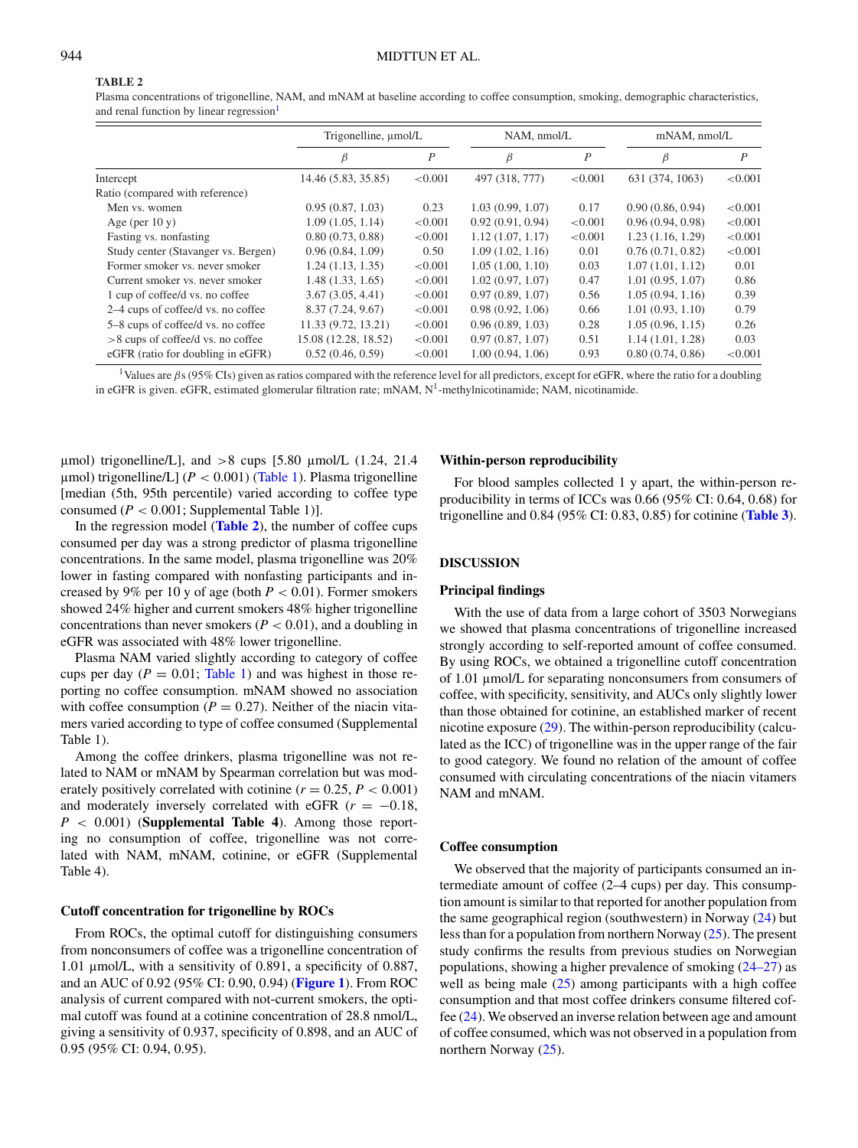# **TABLE 2**

Plasma concentrations of trigonelline, NAM, and mNAM at baseline according to coffee consumption, smoking, demographic characteristics, and renal function by linear regression<sup>1</sup>

|                                     | Trigonelline, µmol/L |         | NAM, nmol/L      |         | mNAM, nmol/L     |                  |
|-------------------------------------|----------------------|---------|------------------|---------|------------------|------------------|
|                                     | β                    | P       | β                | P       | β                | $\boldsymbol{P}$ |
| Intercept                           | 14.46 (5.83, 35.85)  | < 0.001 | 497 (318, 777)   | < 0.001 | 631 (374, 1063)  | < 0.001          |
| Ratio (compared with reference)     |                      |         |                  |         |                  |                  |
| Men vs. women                       | 0.95(0.87, 1.03)     | 0.23    | 1.03(0.99, 1.07) | 0.17    | 0.90(0.86, 0.94) | < 0.001          |
| Age (per $10 y$ )                   | 1.09(1.05, 1.14)     | < 0.001 | 0.92(0.91, 0.94) | < 0.001 | 0.96(0.94, 0.98) | < 0.001          |
| Fasting vs. nonfasting              | 0.80(0.73, 0.88)     | < 0.001 | 1.12(1.07, 1.17) | < 0.001 | 1.23(1.16, 1.29) | < 0.001          |
| Study center (Stavanger vs. Bergen) | 0.96(0.84, 1.09)     | 0.50    | 1.09(1.02, 1.16) | 0.01    | 0.76(0.71, 0.82) | < 0.001          |
| Former smoker vs. never smoker      | 1.24(1.13, 1.35)     | < 0.001 | 1.05(1.00, 1.10) | 0.03    | 1.07(1.01, 1.12) | 0.01             |
| Current smoker vs. never smoker     | 1.48(1.33, 1.65)     | < 0.001 | 1.02(0.97, 1.07) | 0.47    | 1.01(0.95, 1.07) | 0.86             |
| 1 cup of coffee/d vs. no coffee     | 3.67(3.05, 4.41)     | < 0.001 | 0.97(0.89, 1.07) | 0.56    | 1.05(0.94, 1.16) | 0.39             |
| 2–4 cups of coffee/d vs. no coffee  | 8.37 (7.24, 9.67)    | < 0.001 | 0.98(0.92, 1.06) | 0.66    | 1.01(0.93, 1.10) | 0.79             |
| 5–8 cups of coffee/d vs. no coffee  | 11.33 (9.72, 13.21)  | < 0.001 | 0.96(0.89, 1.03) | 0.28    | 1.05(0.96, 1.15) | 0.26             |
| $>8$ cups of coffee/d vs. no coffee | 15.08 (12.28, 18.52) | < 0.001 | 0.97(0.87, 1.07) | 0.51    | 1.14(1.01, 1.28) | 0.03             |
| eGFR (ratio for doubling in eGFR)   | 0.52(0.46, 0.59)     | < 0.001 | 1.00(0.94, 1.06) | 0.93    | 0.80(0.74, 0.86) | < 0.001          |

<sup>1</sup>Values are  $\beta$ s (95% CIs) given as ratios compared with the reference level for all predictors, except for eGFR, where the ratio for a doubling in eGFR is given. eGFR, estimated glomerular filtration rate; mNAM,  $N<sup>1</sup>$ -methylnicotinamide; NAM, nicotinamide.

 $\mu$ mol) trigonelline/L], and >8 cups [5.80  $\mu$ mol/L (1.24, 21.4) µmol) trigonelline/L] (*P* < 0.001) (Table 1). Plasma trigonelline [median (5th, 95th percentile) varied according to coffee type consumed  $(P < 0.001$ ; Supplemental Table 1)].

In the regression model (**Table 2**), the number of coffee cups consumed per day was a strong predictor of plasma trigonelline concentrations. In the same model, plasma trigonelline was 20% lower in fasting compared with nonfasting participants and increased by 9% per 10 y of age (both  $P < 0.01$ ). Former smokers showed 24% higher and current smokers 48% higher trigonelline concentrations than never smokers ( $P < 0.01$ ), and a doubling in eGFR was associated with 48% lower trigonelline.

Plasma NAM varied slightly according to category of coffee cups per day  $(P = 0.01$ ; Table 1) and was highest in those reporting no coffee consumption. mNAM showed no association with coffee consumption ( $P = 0.27$ ). Neither of the niacin vitamers varied according to type of coffee consumed (Supplemental Table 1).

Among the coffee drinkers, plasma trigonelline was not related to NAM or mNAM by Spearman correlation but was moderately positively correlated with cotinine  $(r = 0.25, P < 0.001)$ and moderately inversely correlated with eGFR  $(r = -0.18,$ *P* < 0.001) (**Supplemental Table 4**). Among those reporting no consumption of coffee, trigonelline was not correlated with NAM, mNAM, cotinine, or eGFR (Supplemental Table 4).

# **Cutoff concentration for trigonelline by ROCs**

From ROCs, the optimal cutoff for distinguishing consumers from nonconsumers of coffee was a trigonelline concentration of 1.01 µmol/L, with a sensitivity of 0.891, a specificity of 0.887, and an AUC of 0.92 (95% CI: 0.90, 0.94) (**Figure 1**). From ROC analysis of current compared with not-current smokers, the optimal cutoff was found at a cotinine concentration of 28.8 nmol/L, giving a sensitivity of 0.937, specificity of 0.898, and an AUC of 0.95 (95% CI: 0.94, 0.95).

#### **Within-person reproducibility**

For blood samples collected 1 y apart, the within-person reproducibility in terms of ICCs was 0.66 (95% CI: 0.64, 0.68) for trigonelline and 0.84 (95% CI: 0.83, 0.85) for cotinine (**Table 3**).

# **DISCUSSION**

# **Principal findings**

With the use of data from a large cohort of 3503 Norwegians we showed that plasma concentrations of trigonelline increased strongly according to self-reported amount of coffee consumed. By using ROCs, we obtained a trigonelline cutoff concentration of 1.01 µmol/L for separating nonconsumers from consumers of coffee, with specificity, sensitivity, and AUCs only slightly lower than those obtained for cotinine, an established marker of recent nicotine exposure (29). The within-person reproducibility (calculated as the ICC) of trigonelline was in the upper range of the fair to good category. We found no relation of the amount of coffee consumed with circulating concentrations of the niacin vitamers NAM and mNAM.

## **Coffee consumption**

We observed that the majority of participants consumed an intermediate amount of coffee (2–4 cups) per day. This consumption amount is similar to that reported for another population from the same geographical region (southwestern) in Norway (24) but less than for a population from northern Norway  $(25)$ . The present study confirms the results from previous studies on Norwegian populations, showing a higher prevalence of smoking (24–27) as well as being male  $(25)$  among participants with a high coffee consumption and that most coffee drinkers consume filtered coffee (24). We observed an inverse relation between age and amount of coffee consumed, which was not observed in a population from northern Norway (25).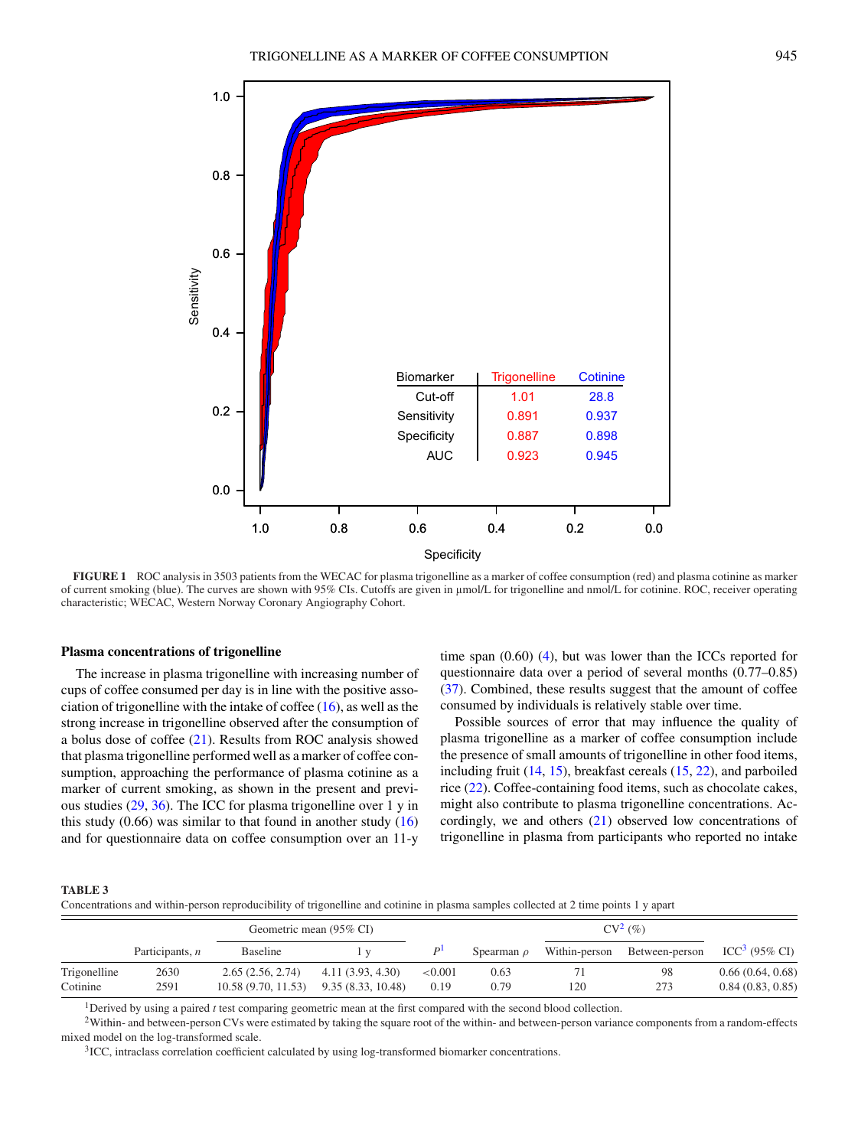

**FIGURE 1** ROC analysis in 3503 patients from the WECAC for plasma trigonelline as a marker of coffee consumption (red) and plasma cotinine as marker of current smoking (blue). The curves are shown with 95% CIs. Cutoffs are given in µmol/L for trigonelline and nmol/L for cotinine. ROC, receiver operating characteristic; WECAC, Western Norway Coronary Angiography Cohort.

#### **Plasma concentrations of trigonelline**

The increase in plasma trigonelline with increasing number of cups of coffee consumed per day is in line with the positive association of trigonelline with the intake of coffee  $(16)$ , as well as the strong increase in trigonelline observed after the consumption of a bolus dose of coffee (21). Results from ROC analysis showed that plasma trigonelline performed well as a marker of coffee consumption, approaching the performance of plasma cotinine as a marker of current smoking, as shown in the present and previous studies (29, 36). The ICC for plasma trigonelline over 1 y in this study  $(0.66)$  was similar to that found in another study  $(16)$ and for questionnaire data on coffee consumption over an 11-y time span (0.60) (4), but was lower than the ICCs reported for questionnaire data over a period of several months (0.77–0.85) (37). Combined, these results suggest that the amount of coffee consumed by individuals is relatively stable over time.

Possible sources of error that may influence the quality of plasma trigonelline as a marker of coffee consumption include the presence of small amounts of trigonelline in other food items, including fruit (14, 15), breakfast cereals (15, 22), and parboiled rice (22). Coffee-containing food items, such as chocolate cakes, might also contribute to plasma trigonelline concentrations. Accordingly, we and others (21) observed low concentrations of trigonelline in plasma from participants who reported no intake

**TABLE 3**

Concentrations and within-person reproducibility of trigonelline and cotinine in plasma samples collected at 2 time points 1 y apart

|              | Geometric mean (95% CI) |                    |                   |            | $CV^2$ (%)      |               |                |                           |
|--------------|-------------------------|--------------------|-------------------|------------|-----------------|---------------|----------------|---------------------------|
|              | Participants, n         | Baseline           |                   | D          | Spearman $\rho$ | Within-person | Between-person | ICC <sup>3</sup> (95% CI) |
| Trigonelline | 2630                    | 2.65(2.56, 2.74)   | 4.11(3.93, 4.30)  | ${<}0.001$ | 0.63            |               | 98             | 0.66(0.64, 0.68)          |
| Cotinine     | 2591                    | 10.58(9.70, 11.53) | 9.35(8.33, 10.48) | 0.19       | 0.79            | 120           | 273            | 0.84(0.83, 0.85)          |

1Derived by using a paired *t* test comparing geometric mean at the first compared with the second blood collection.

<sup>2</sup>Within- and between-person CVs were estimated by taking the square root of the within- and between-person variance components from a random-effects mixed model on the log-transformed scale.

<sup>3</sup>ICC, intraclass correlation coefficient calculated by using log-transformed biomarker concentrations.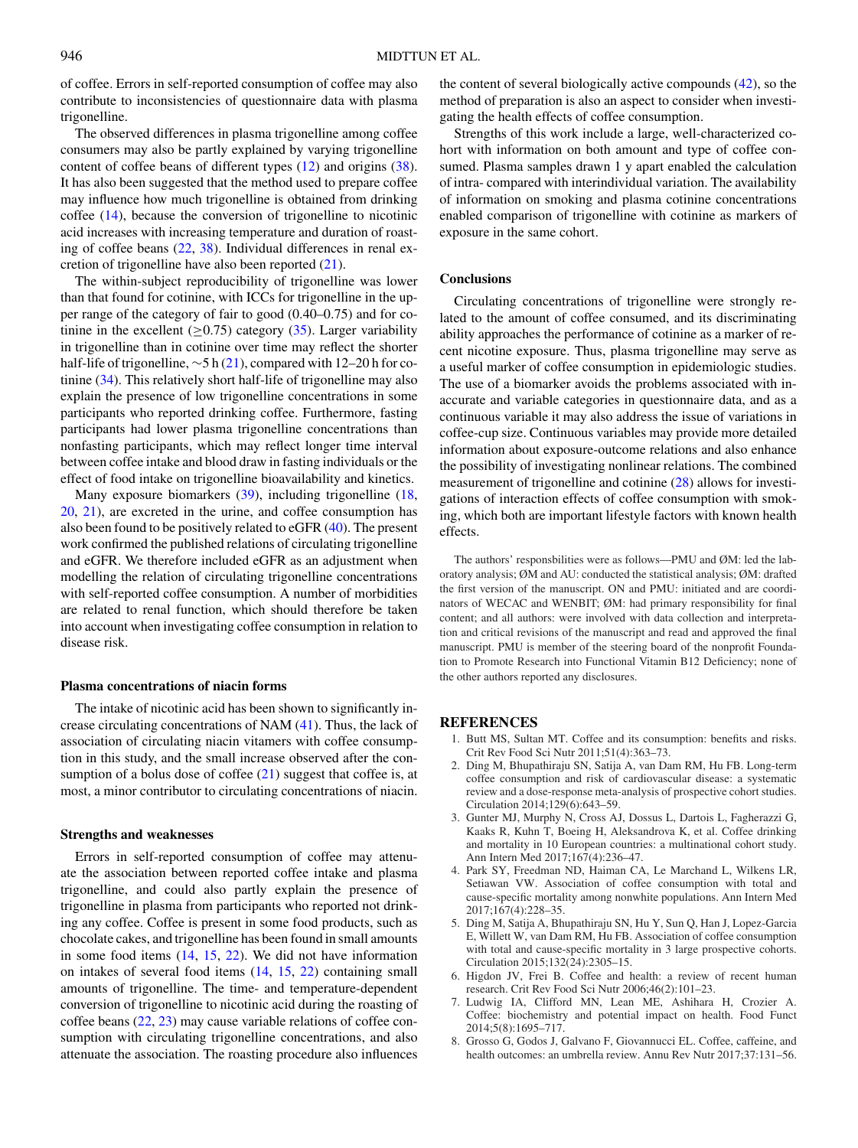of coffee. Errors in self-reported consumption of coffee may also contribute to inconsistencies of questionnaire data with plasma trigonelline.

The observed differences in plasma trigonelline among coffee consumers may also be partly explained by varying trigonelline content of coffee beans of different types (12) and origins (38). It has also been suggested that the method used to prepare coffee may influence how much trigonelline is obtained from drinking coffee (14), because the conversion of trigonelline to nicotinic acid increases with increasing temperature and duration of roasting of coffee beans (22, 38). Individual differences in renal excretion of trigonelline have also been reported (21).

The within-subject reproducibility of trigonelline was lower than that found for cotinine, with ICCs for trigonelline in the upper range of the category of fair to good (0.40–0.75) and for cotinine in the excellent ( $\geq$ 0.75) category (35). Larger variability in trigonelline than in cotinine over time may reflect the shorter half-life of trigonelline,  $\sim$ 5 h(21), compared with 12–20 h for cotinine (34). This relatively short half-life of trigonelline may also explain the presence of low trigonelline concentrations in some participants who reported drinking coffee. Furthermore, fasting participants had lower plasma trigonelline concentrations than nonfasting participants, which may reflect longer time interval between coffee intake and blood draw in fasting individuals or the effect of food intake on trigonelline bioavailability and kinetics.

Many exposure biomarkers (39), including trigonelline (18, 20, 21), are excreted in the urine, and coffee consumption has also been found to be positively related to eGFR (40). The present work confirmed the published relations of circulating trigonelline and eGFR. We therefore included eGFR as an adjustment when modelling the relation of circulating trigonelline concentrations with self-reported coffee consumption. A number of morbidities are related to renal function, which should therefore be taken into account when investigating coffee consumption in relation to disease risk.

## **Plasma concentrations of niacin forms**

The intake of nicotinic acid has been shown to significantly increase circulating concentrations of NAM (41). Thus, the lack of association of circulating niacin vitamers with coffee consumption in this study, and the small increase observed after the consumption of a bolus dose of coffee  $(21)$  suggest that coffee is, at most, a minor contributor to circulating concentrations of niacin.

#### **Strengths and weaknesses**

Errors in self-reported consumption of coffee may attenuate the association between reported coffee intake and plasma trigonelline, and could also partly explain the presence of trigonelline in plasma from participants who reported not drinking any coffee. Coffee is present in some food products, such as chocolate cakes, and trigonelline has been found in small amounts in some food items (14, 15, 22). We did not have information on intakes of several food items (14, 15, 22) containing small amounts of trigonelline. The time- and temperature-dependent conversion of trigonelline to nicotinic acid during the roasting of coffee beans (22, 23) may cause variable relations of coffee consumption with circulating trigonelline concentrations, and also attenuate the association. The roasting procedure also influences

the content of several biologically active compounds  $(42)$ , so the method of preparation is also an aspect to consider when investigating the health effects of coffee consumption.

Strengths of this work include a large, well-characterized cohort with information on both amount and type of coffee consumed. Plasma samples drawn 1 y apart enabled the calculation of intra- compared with interindividual variation. The availability of information on smoking and plasma cotinine concentrations enabled comparison of trigonelline with cotinine as markers of exposure in the same cohort.

# **Conclusions**

Circulating concentrations of trigonelline were strongly related to the amount of coffee consumed, and its discriminating ability approaches the performance of cotinine as a marker of recent nicotine exposure. Thus, plasma trigonelline may serve as a useful marker of coffee consumption in epidemiologic studies. The use of a biomarker avoids the problems associated with inaccurate and variable categories in questionnaire data, and as a continuous variable it may also address the issue of variations in coffee-cup size. Continuous variables may provide more detailed information about exposure-outcome relations and also enhance the possibility of investigating nonlinear relations. The combined measurement of trigonelline and cotinine (28) allows for investigations of interaction effects of coffee consumption with smoking, which both are important lifestyle factors with known health effects.

The authors' responsbilities were as follows—PMU and ØM: led the laboratory analysis; ØM and AU: conducted the statistical analysis; ØM: drafted the first version of the manuscript. ON and PMU: initiated and are coordinators of WECAC and WENBIT; ØM: had primary responsibility for final content; and all authors: were involved with data collection and interpretation and critical revisions of the manuscript and read and approved the final manuscript. PMU is member of the steering board of the nonprofit Foundation to Promote Research into Functional Vitamin B12 Deficiency; none of the other authors reported any disclosures.

## **REFERENCES**

- 1. Butt MS, Sultan MT. Coffee and its consumption: benefits and risks. Crit Rev Food Sci Nutr 2011;51(4):363–73.
- 2. Ding M, Bhupathiraju SN, Satija A, van Dam RM, Hu FB. Long-term coffee consumption and risk of cardiovascular disease: a systematic review and a dose-response meta-analysis of prospective cohort studies. Circulation 2014;129(6):643–59.
- 3. Gunter MJ, Murphy N, Cross AJ, Dossus L, Dartois L, Fagherazzi G, Kaaks R, Kuhn T, Boeing H, Aleksandrova K, et al. Coffee drinking and mortality in 10 European countries: a multinational cohort study. Ann Intern Med 2017;167(4):236–47.
- 4. Park SY, Freedman ND, Haiman CA, Le Marchand L, Wilkens LR, Setiawan VW. Association of coffee consumption with total and cause-specific mortality among nonwhite populations. Ann Intern Med 2017;167(4):228–35.
- 5. Ding M, Satija A, Bhupathiraju SN, Hu Y, Sun Q, Han J, Lopez-Garcia E, Willett W, van Dam RM, Hu FB. Association of coffee consumption with total and cause-specific mortality in 3 large prospective cohorts. Circulation 2015;132(24):2305–15.
- 6. Higdon JV, Frei B. Coffee and health: a review of recent human research. Crit Rev Food Sci Nutr 2006;46(2):101–23.
- 7. Ludwig IA, Clifford MN, Lean ME, Ashihara H, Crozier A. Coffee: biochemistry and potential impact on health. Food Funct 2014;5(8):1695–717.
- 8. Grosso G, Godos J, Galvano F, Giovannucci EL. Coffee, caffeine, and health outcomes: an umbrella review. Annu Rev Nutr 2017;37:131–56.